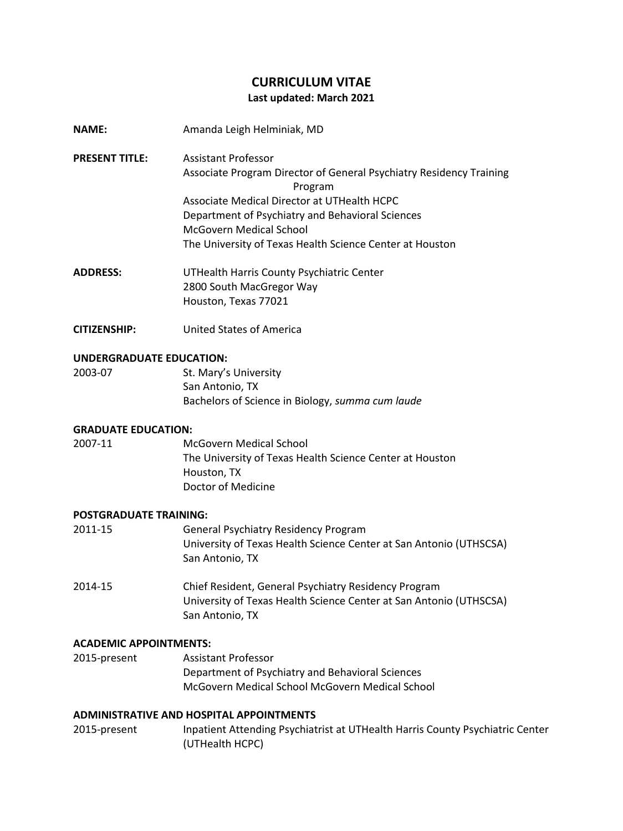# **CURRICULUM VITAE Last updated: March 2021**

- **NAME:** Amanda Leigh Helminiak, MD
- **PRESENT TITLE:** Assistant Professor Associate Program Director of General Psychiatry Residency Training Program Associate Medical Director at UTHealth HCPC Department of Psychiatry and Behavioral Sciences McGovern Medical School The University of Texas Health Science Center at Houston
- **ADDRESS:** UTHealth Harris County Psychiatric Center 2800 South MacGregor Way Houston, Texas 77021
- **CITIZENSHIP:** United States of America

# **UNDERGRADUATE EDUCATION:**

| 2003-07 | St. Mary's University                            |
|---------|--------------------------------------------------|
|         | San Antonio, TX                                  |
|         | Bachelors of Science in Biology, summa cum laude |

# **GRADUATE EDUCATION:**

2007-11 McGovern Medical School The University of Texas Health Science Center at Houston Houston, TX Doctor of Medicine

## **POSTGRADUATE TRAINING:**

| 2011-15 | <b>General Psychiatry Residency Program</b>                        |  |
|---------|--------------------------------------------------------------------|--|
|         | University of Texas Health Science Center at San Antonio (UTHSCSA) |  |
|         | San Antonio. TX                                                    |  |
|         |                                                                    |  |

2014-15 Chief Resident, General Psychiatry Residency Program University of Texas Health Science Center at San Antonio (UTHSCSA) San Antonio, TX

## **ACADEMIC APPOINTMENTS:**

2015-present Assistant Professor Department of Psychiatry and Behavioral Sciences McGovern Medical School McGovern Medical School

## **ADMINISTRATIVE AND HOSPITAL APPOINTMENTS**

2015-present Inpatient Attending Psychiatrist at UTHealth Harris County Psychiatric Center (UTHealth HCPC)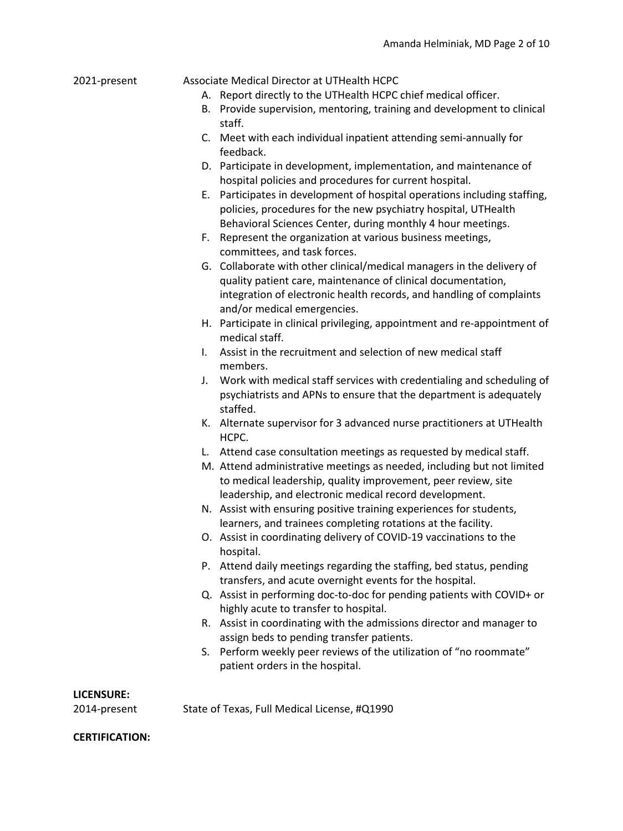#### 2021-present Associate Medical Director at UTHealth HCPC

- A. Report directly to the UTHealth HCPC chief medical officer.
- B. Provide supervision, mentoring, training and development to clinical staff.
- C. Meet with each individual inpatient attending semi-annually for feedback.
- D. Participate in development, implementation, and maintenance of hospital policies and procedures for current hospital.
- E. Participates in development of hospital operations including staffing, policies, procedures for the new psychiatry hospital, UTHealth Behavioral Sciences Center, during monthly 4 hour meetings.
- F. Represent the organization at various business meetings, committees, and task forces.
- G. Collaborate with other clinical/medical managers in the delivery of quality patient care, maintenance of clinical documentation, integration of electronic health records, and handling of complaints and/or medical emergencies.
- H. Participate in clinical privileging, appointment and re-appointment of medical staff.
- I. Assist in the recruitment and selection of new medical staff members.
- J. Work with medical staff services with credentialing and scheduling of psychiatrists and APNs to ensure that the department is adequately staffed.
- K. Alternate supervisor for 3 advanced nurse practitioners at UTHealth HCPC.
- L. Attend case consultation meetings as requested by medical staff.
- M. Attend administrative meetings as needed, including but not limited to medical leadership, quality improvement, peer review, site leadership, and electronic medical record development.
- N. Assist with ensuring positive training experiences for students, learners, and trainees completing rotations at the facility.
- O. Assist in coordinating delivery of COVID-19 vaccinations to the hospital.
- P. Attend daily meetings regarding the staffing, bed status, pending transfers, and acute overnight events for the hospital.
- Q. Assist in performing doc-to-doc for pending patients with COVID+ or highly acute to transfer to hospital.
- R. Assist in coordinating with the admissions director and manager to assign beds to pending transfer patients.
- S. Perform weekly peer reviews of the utilization of "no roommate" patient orders in the hospital.

#### **LICENSURE:**

2014-present State of Texas, Full Medical License, #Q1990

#### **CERTIFICATION:**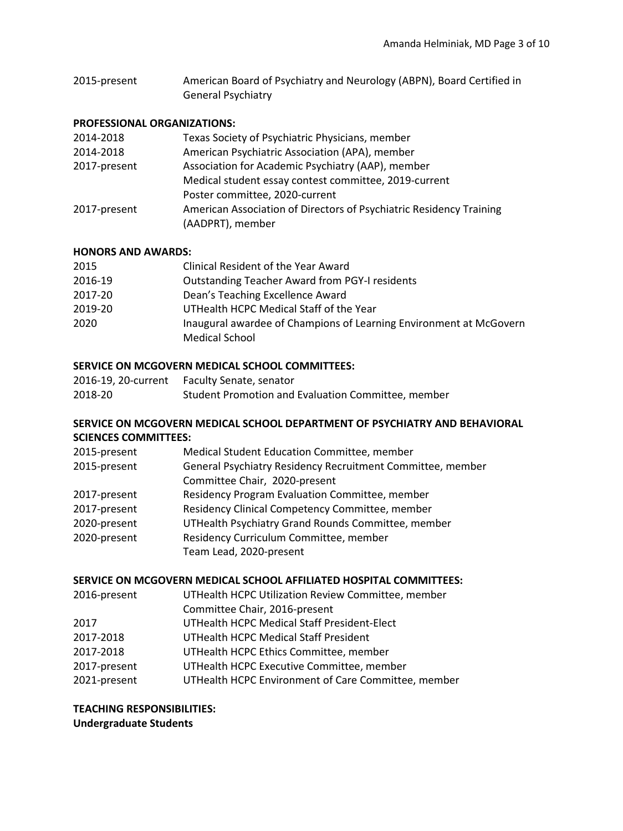2015-present American Board of Psychiatry and Neurology (ABPN), Board Certified in General Psychiatry

### **PROFESSIONAL ORGANIZATIONS:**

| 2014-2018    | Texas Society of Psychiatric Physicians, member                     |
|--------------|---------------------------------------------------------------------|
| 2014-2018    | American Psychiatric Association (APA), member                      |
| 2017-present | Association for Academic Psychiatry (AAP), member                   |
|              | Medical student essay contest committee, 2019-current               |
|              | Poster committee, 2020-current                                      |
| 2017-present | American Association of Directors of Psychiatric Residency Training |
|              | (AADPRT), member                                                    |

## **HONORS AND AWARDS:**

| 2015    | Clinical Resident of the Year Award                                                         |
|---------|---------------------------------------------------------------------------------------------|
| 2016-19 | <b>Outstanding Teacher Award from PGY-I residents</b>                                       |
| 2017-20 | Dean's Teaching Excellence Award                                                            |
| 2019-20 | UTHealth HCPC Medical Staff of the Year                                                     |
| 2020    | Inaugural awardee of Champions of Learning Environment at McGovern<br><b>Medical School</b> |

## **SERVICE ON MCGOVERN MEDICAL SCHOOL COMMITTEES:**

| 2016-19, 20-current | <b>Faculty Senate, senator</b>                     |
|---------------------|----------------------------------------------------|
| 2018-20             | Student Promotion and Evaluation Committee, member |

# **SERVICE ON MCGOVERN MEDICAL SCHOOL DEPARTMENT OF PSYCHIATRY AND BEHAVIORAL SCIENCES COMMITTEES:**

| 2015-present | Medical Student Education Committee, member                |
|--------------|------------------------------------------------------------|
| 2015-present | General Psychiatry Residency Recruitment Committee, member |
|              | Committee Chair, 2020-present                              |
| 2017-present | Residency Program Evaluation Committee, member             |
| 2017-present | Residency Clinical Competency Committee, member            |
| 2020-present | UTHealth Psychiatry Grand Rounds Committee, member         |
| 2020-present | Residency Curriculum Committee, member                     |
|              | Team Lead, 2020-present                                    |

# **SERVICE ON MCGOVERN MEDICAL SCHOOL AFFILIATED HOSPITAL COMMITTEES:**

| UTHealth HCPC Environment of Care Committee, member |
|-----------------------------------------------------|
|                                                     |

**TEACHING RESPONSIBILITIES: Undergraduate Students**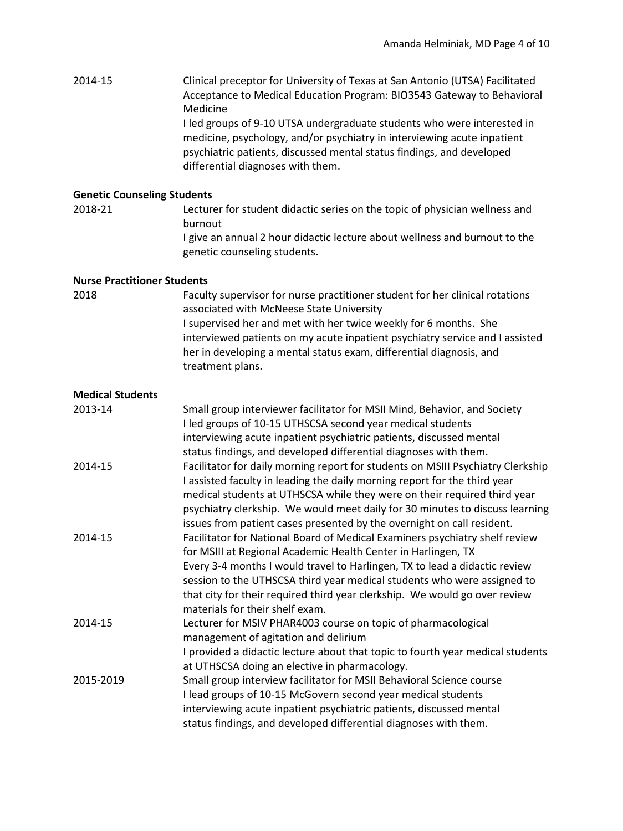2014-15 Clinical preceptor for University of Texas at San Antonio (UTSA) Facilitated Acceptance to Medical Education Program: BIO3543 Gateway to Behavioral Medicine I led groups of 9-10 UTSA undergraduate students who were interested in

medicine, psychology, and/or psychiatry in interviewing acute inpatient psychiatric patients, discussed mental status findings, and developed differential diagnoses with them.

### **Genetic Counseling Students**

2018-21 Lecturer for student didactic series on the topic of physician wellness and burnout

> I give an annual 2 hour didactic lecture about wellness and burnout to the genetic counseling students.

#### **Nurse Practitioner Students**

2018 Faculty supervisor for nurse practitioner student for her clinical rotations associated with McNeese State University I supervised her and met with her twice weekly for 6 months. She interviewed patients on my acute inpatient psychiatry service and I assisted her in developing a mental status exam, differential diagnosis, and treatment plans.

#### **Medical Students**

| 2013-14   | Small group interviewer facilitator for MSII Mind, Behavior, and Society<br>I led groups of 10-15 UTHSCSA second year medical students                 |
|-----------|--------------------------------------------------------------------------------------------------------------------------------------------------------|
|           | interviewing acute inpatient psychiatric patients, discussed mental                                                                                    |
|           | status findings, and developed differential diagnoses with them.                                                                                       |
| 2014-15   | Facilitator for daily morning report for students on MSIII Psychiatry Clerkship                                                                        |
|           | I assisted faculty in leading the daily morning report for the third year                                                                              |
|           | medical students at UTHSCSA while they were on their required third year                                                                               |
|           | psychiatry clerkship. We would meet daily for 30 minutes to discuss learning<br>issues from patient cases presented by the overnight on call resident. |
| 2014-15   | Facilitator for National Board of Medical Examiners psychiatry shelf review                                                                            |
|           | for MSIII at Regional Academic Health Center in Harlingen, TX                                                                                          |
|           | Every 3-4 months I would travel to Harlingen, TX to lead a didactic review                                                                             |
|           | session to the UTHSCSA third year medical students who were assigned to                                                                                |
|           | that city for their required third year clerkship. We would go over review                                                                             |
|           | materials for their shelf exam.                                                                                                                        |
| 2014-15   | Lecturer for MSIV PHAR4003 course on topic of pharmacological                                                                                          |
|           | management of agitation and delirium                                                                                                                   |
|           | I provided a didactic lecture about that topic to fourth year medical students                                                                         |
|           | at UTHSCSA doing an elective in pharmacology.                                                                                                          |
| 2015-2019 | Small group interview facilitator for MSII Behavioral Science course                                                                                   |
|           | I lead groups of 10-15 McGovern second year medical students                                                                                           |
|           | interviewing acute inpatient psychiatric patients, discussed mental                                                                                    |
|           | status findings, and developed differential diagnoses with them.                                                                                       |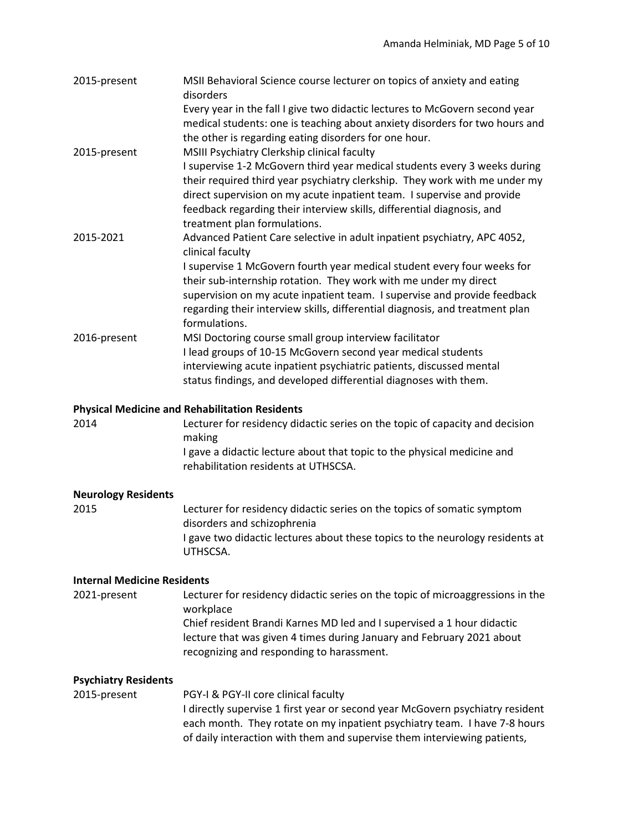| 2015-present | MSII Behavioral Science course lecturer on topics of anxiety and eating<br>disorders<br>Every year in the fall I give two didactic lectures to McGovern second year                                                                                                                                                                         |
|--------------|---------------------------------------------------------------------------------------------------------------------------------------------------------------------------------------------------------------------------------------------------------------------------------------------------------------------------------------------|
| 2015-present | medical students: one is teaching about anxiety disorders for two hours and<br>the other is regarding eating disorders for one hour.<br>MSIII Psychiatry Clerkship clinical faculty                                                                                                                                                         |
|              | I supervise 1-2 McGovern third year medical students every 3 weeks during<br>their required third year psychiatry clerkship. They work with me under my<br>direct supervision on my acute inpatient team. I supervise and provide<br>feedback regarding their interview skills, differential diagnosis, and<br>treatment plan formulations. |
| 2015-2021    | Advanced Patient Care selective in adult inpatient psychiatry, APC 4052,<br>clinical faculty                                                                                                                                                                                                                                                |
|              | I supervise 1 McGovern fourth year medical student every four weeks for<br>their sub-internship rotation. They work with me under my direct<br>supervision on my acute inpatient team. I supervise and provide feedback<br>regarding their interview skills, differential diagnosis, and treatment plan<br>formulations.                    |
| 2016-present | MSI Doctoring course small group interview facilitator<br>I lead groups of 10-15 McGovern second year medical students<br>interviewing acute inpatient psychiatric patients, discussed mental<br>status findings, and developed differential diagnoses with them.                                                                           |

## **Physical Medicine and Rehabilitation Residents**

2014 Lecturer for residency didactic series on the topic of capacity and decision making I gave a didactic lecture about that topic to the physical medicine and rehabilitation residents at UTHSCSA.

## **Neurology Residents**

2015 Lecturer for residency didactic series on the topics of somatic symptom disorders and schizophrenia I gave two didactic lectures about these topics to the neurology residents at UTHSCSA.

## **Internal Medicine Residents**

2021-present Lecturer for residency didactic series on the topic of microaggressions in the workplace Chief resident Brandi Karnes MD led and I supervised a 1 hour didactic lecture that was given 4 times during January and February 2021 about recognizing and responding to harassment.

## **Psychiatry Residents**

2015-present PGY-I & PGY-II core clinical faculty I directly supervise 1 first year or second year McGovern psychiatry resident each month. They rotate on my inpatient psychiatry team. I have 7-8 hours of daily interaction with them and supervise them interviewing patients,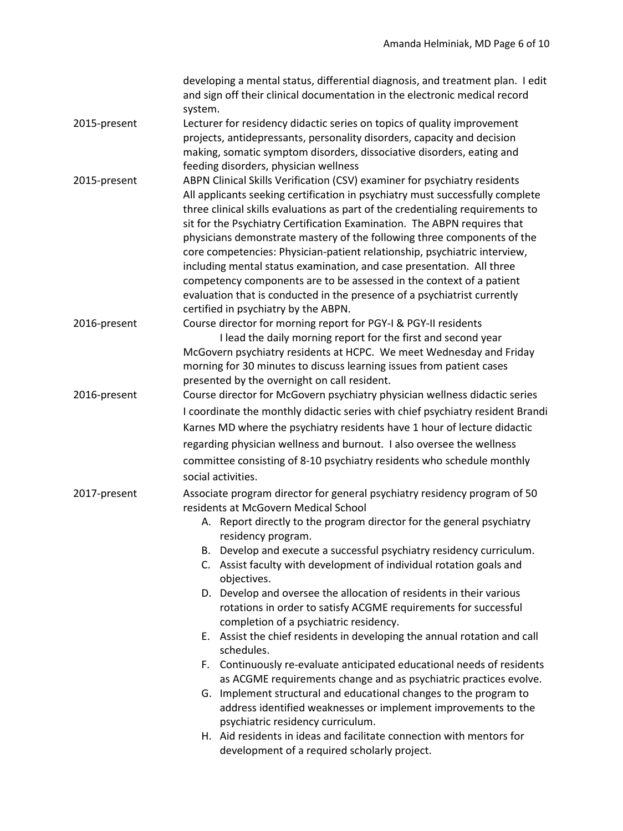|              | developing a mental status, differential diagnosis, and treatment plan. I edit<br>and sign off their clinical documentation in the electronic medical record<br>system.                                                                                                                                                                                                                                                                                                                                                                                                                                                                                                                                                                                                                                                                                                                                                                                                                                                                                                                                         |  |
|--------------|-----------------------------------------------------------------------------------------------------------------------------------------------------------------------------------------------------------------------------------------------------------------------------------------------------------------------------------------------------------------------------------------------------------------------------------------------------------------------------------------------------------------------------------------------------------------------------------------------------------------------------------------------------------------------------------------------------------------------------------------------------------------------------------------------------------------------------------------------------------------------------------------------------------------------------------------------------------------------------------------------------------------------------------------------------------------------------------------------------------------|--|
| 2015-present | Lecturer for residency didactic series on topics of quality improvement<br>projects, antidepressants, personality disorders, capacity and decision<br>making, somatic symptom disorders, dissociative disorders, eating and<br>feeding disorders, physician wellness                                                                                                                                                                                                                                                                                                                                                                                                                                                                                                                                                                                                                                                                                                                                                                                                                                            |  |
| 2015-present | ABPN Clinical Skills Verification (CSV) examiner for psychiatry residents<br>All applicants seeking certification in psychiatry must successfully complete<br>three clinical skills evaluations as part of the credentialing requirements to<br>sit for the Psychiatry Certification Examination. The ABPN requires that<br>physicians demonstrate mastery of the following three components of the<br>core competencies: Physician-patient relationship, psychiatric interview,<br>including mental status examination, and case presentation. All three<br>competency components are to be assessed in the context of a patient<br>evaluation that is conducted in the presence of a psychiatrist currently<br>certified in psychiatry by the ABPN.                                                                                                                                                                                                                                                                                                                                                           |  |
| 2016-present | Course director for morning report for PGY-I & PGY-II residents<br>I lead the daily morning report for the first and second year<br>McGovern psychiatry residents at HCPC. We meet Wednesday and Friday<br>morning for 30 minutes to discuss learning issues from patient cases<br>presented by the overnight on call resident.                                                                                                                                                                                                                                                                                                                                                                                                                                                                                                                                                                                                                                                                                                                                                                                 |  |
| 2016-present | Course director for McGovern psychiatry physician wellness didactic series<br>I coordinate the monthly didactic series with chief psychiatry resident Brandi<br>Karnes MD where the psychiatry residents have 1 hour of lecture didactic<br>regarding physician wellness and burnout. I also oversee the wellness<br>committee consisting of 8-10 psychiatry residents who schedule monthly<br>social activities.                                                                                                                                                                                                                                                                                                                                                                                                                                                                                                                                                                                                                                                                                               |  |
| 2017-present | Associate program director for general psychiatry residency program of 50<br>residents at McGovern Medical School<br>A. Report directly to the program director for the general psychiatry<br>residency program.<br>B. Develop and execute a successful psychiatry residency curriculum.<br>C. Assist faculty with development of individual rotation goals and<br>objectives.<br>D. Develop and oversee the allocation of residents in their various<br>rotations in order to satisfy ACGME requirements for successful<br>completion of a psychiatric residency.<br>E. Assist the chief residents in developing the annual rotation and call<br>schedules.<br>F. Continuously re-evaluate anticipated educational needs of residents<br>as ACGME requirements change and as psychiatric practices evolve.<br>G. Implement structural and educational changes to the program to<br>address identified weaknesses or implement improvements to the<br>psychiatric residency curriculum.<br>H. Aid residents in ideas and facilitate connection with mentors for<br>development of a required scholarly project. |  |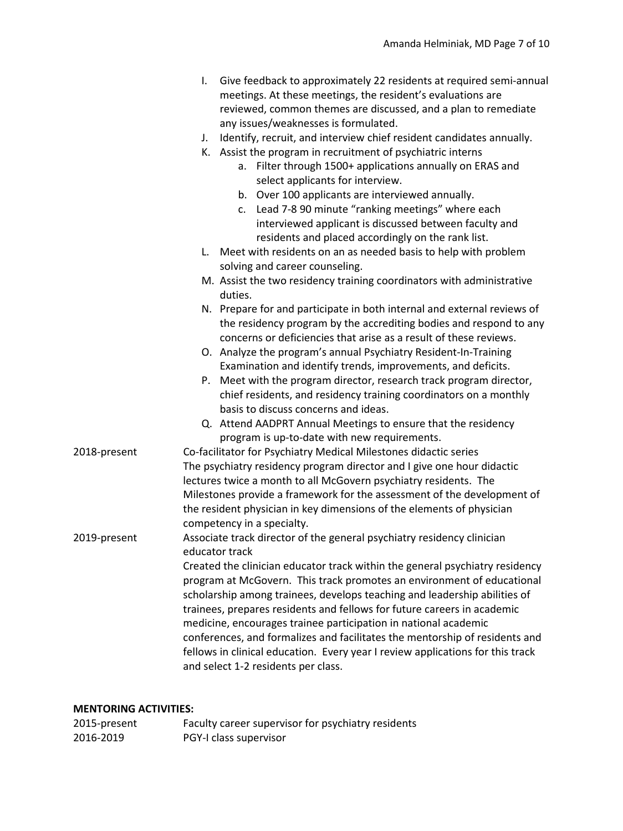|              | Give feedback to approximately 22 residents at required semi-annual<br>I.<br>meetings. At these meetings, the resident's evaluations are<br>reviewed, common themes are discussed, and a plan to remediate<br>any issues/weaknesses is formulated.                                                                                                                                                                                                                                                                                                                                                                                                                                    |  |
|--------------|---------------------------------------------------------------------------------------------------------------------------------------------------------------------------------------------------------------------------------------------------------------------------------------------------------------------------------------------------------------------------------------------------------------------------------------------------------------------------------------------------------------------------------------------------------------------------------------------------------------------------------------------------------------------------------------|--|
|              | Identify, recruit, and interview chief resident candidates annually.<br>J.<br>K. Assist the program in recruitment of psychiatric interns<br>a. Filter through 1500+ applications annually on ERAS and<br>select applicants for interview.<br>b. Over 100 applicants are interviewed annually.<br>c. Lead 7-8 90 minute "ranking meetings" where each<br>interviewed applicant is discussed between faculty and<br>residents and placed accordingly on the rank list.                                                                                                                                                                                                                 |  |
|              | Meet with residents on an as needed basis to help with problem<br>$\mathsf{L}$ .<br>solving and career counseling.                                                                                                                                                                                                                                                                                                                                                                                                                                                                                                                                                                    |  |
|              | M. Assist the two residency training coordinators with administrative<br>duties.                                                                                                                                                                                                                                                                                                                                                                                                                                                                                                                                                                                                      |  |
|              | N. Prepare for and participate in both internal and external reviews of<br>the residency program by the accrediting bodies and respond to any<br>concerns or deficiencies that arise as a result of these reviews.                                                                                                                                                                                                                                                                                                                                                                                                                                                                    |  |
|              | O. Analyze the program's annual Psychiatry Resident-In-Training<br>Examination and identify trends, improvements, and deficits.                                                                                                                                                                                                                                                                                                                                                                                                                                                                                                                                                       |  |
|              | P. Meet with the program director, research track program director,<br>chief residents, and residency training coordinators on a monthly<br>basis to discuss concerns and ideas.                                                                                                                                                                                                                                                                                                                                                                                                                                                                                                      |  |
|              | Q. Attend AADPRT Annual Meetings to ensure that the residency<br>program is up-to-date with new requirements.                                                                                                                                                                                                                                                                                                                                                                                                                                                                                                                                                                         |  |
| 2018-present | Co-facilitator for Psychiatry Medical Milestones didactic series<br>The psychiatry residency program director and I give one hour didactic<br>lectures twice a month to all McGovern psychiatry residents. The<br>Milestones provide a framework for the assessment of the development of<br>the resident physician in key dimensions of the elements of physician<br>competency in a specialty.                                                                                                                                                                                                                                                                                      |  |
| 2019-present | Associate track director of the general psychiatry residency clinician<br>educator track<br>Created the clinician educator track within the general psychiatry residency<br>program at McGovern. This track promotes an environment of educational<br>scholarship among trainees, develops teaching and leadership abilities of<br>trainees, prepares residents and fellows for future careers in academic<br>medicine, encourages trainee participation in national academic<br>conferences, and formalizes and facilitates the mentorship of residents and<br>fellows in clinical education. Every year I review applications for this track<br>and select 1-2 residents per class. |  |

# **MENTORING ACTIVITIES:**

| 2015-present | Faculty career supervisor for psychiatry residents |
|--------------|----------------------------------------------------|
| 2016-2019    | PGY-I class supervisor                             |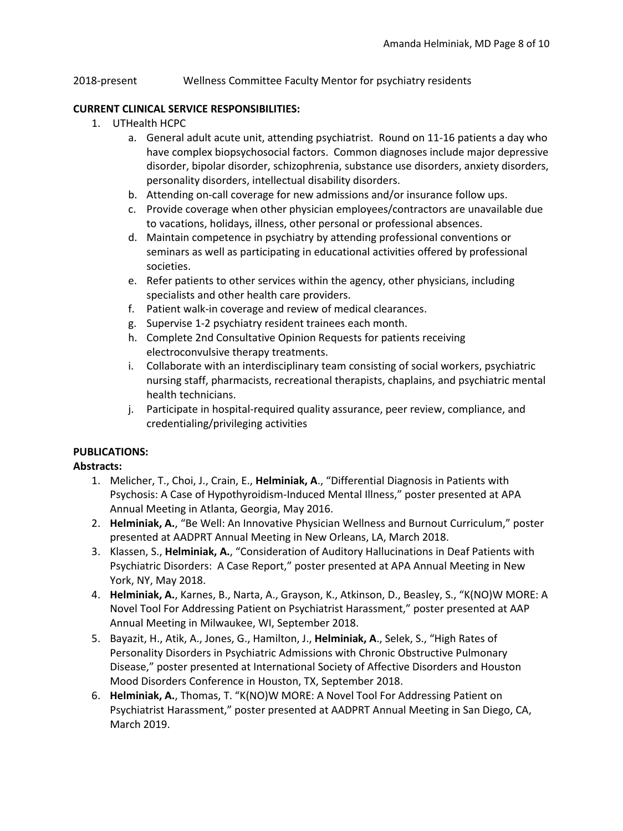### 2018-present Wellness Committee Faculty Mentor for psychiatry residents

#### **CURRENT CLINICAL SERVICE RESPONSIBILITIES:**

- 1. UTHealth HCPC
	- a. General adult acute unit, attending psychiatrist. Round on 11-16 patients a day who have complex biopsychosocial factors. Common diagnoses include major depressive disorder, bipolar disorder, schizophrenia, substance use disorders, anxiety disorders, personality disorders, intellectual disability disorders.
	- b. Attending on-call coverage for new admissions and/or insurance follow ups.
	- c. Provide coverage when other physician employees/contractors are unavailable due to vacations, holidays, illness, other personal or professional absences.
	- d. Maintain competence in psychiatry by attending professional conventions or seminars as well as participating in educational activities offered by professional societies.
	- e. Refer patients to other services within the agency, other physicians, including specialists and other health care providers.
	- f. Patient walk-in coverage and review of medical clearances.
	- g. Supervise 1-2 psychiatry resident trainees each month.
	- h. Complete 2nd Consultative Opinion Requests for patients receiving electroconvulsive therapy treatments.
	- i. Collaborate with an interdisciplinary team consisting of social workers, psychiatric nursing staff, pharmacists, recreational therapists, chaplains, and psychiatric mental health technicians.
	- j. Participate in hospital-required quality assurance, peer review, compliance, and credentialing/privileging activities

# **PUBLICATIONS:**

#### **Abstracts:**

- 1. Melicher, T., Choi, J., Crain, E., **Helminiak, A**., "Differential Diagnosis in Patients with Psychosis: A Case of Hypothyroidism-Induced Mental Illness," poster presented at APA Annual Meeting in Atlanta, Georgia, May 2016.
- 2. **Helminiak, A.**, "Be Well: An Innovative Physician Wellness and Burnout Curriculum," poster presented at AADPRT Annual Meeting in New Orleans, LA, March 2018.
- 3. Klassen, S., **Helminiak, A.**, "Consideration of Auditory Hallucinations in Deaf Patients with Psychiatric Disorders: A Case Report," poster presented at APA Annual Meeting in New York, NY, May 2018.
- 4. **Helminiak, A.**, Karnes, B., Narta, A., Grayson, K., Atkinson, D., Beasley, S., "K(NO)W MORE: A Novel Tool For Addressing Patient on Psychiatrist Harassment," poster presented at AAP Annual Meeting in Milwaukee, WI, September 2018.
- 5. Bayazit, H., Atik, A., Jones, G., Hamilton, J., **Helminiak, A**., Selek, S., "High Rates of Personality Disorders in Psychiatric Admissions with Chronic Obstructive Pulmonary Disease," poster presented at International Society of Affective Disorders and Houston Mood Disorders Conference in Houston, TX, September 2018.
- 6. **Helminiak, A.**, Thomas, T. "K(NO)W MORE: A Novel Tool For Addressing Patient on Psychiatrist Harassment," poster presented at AADPRT Annual Meeting in San Diego, CA, March 2019.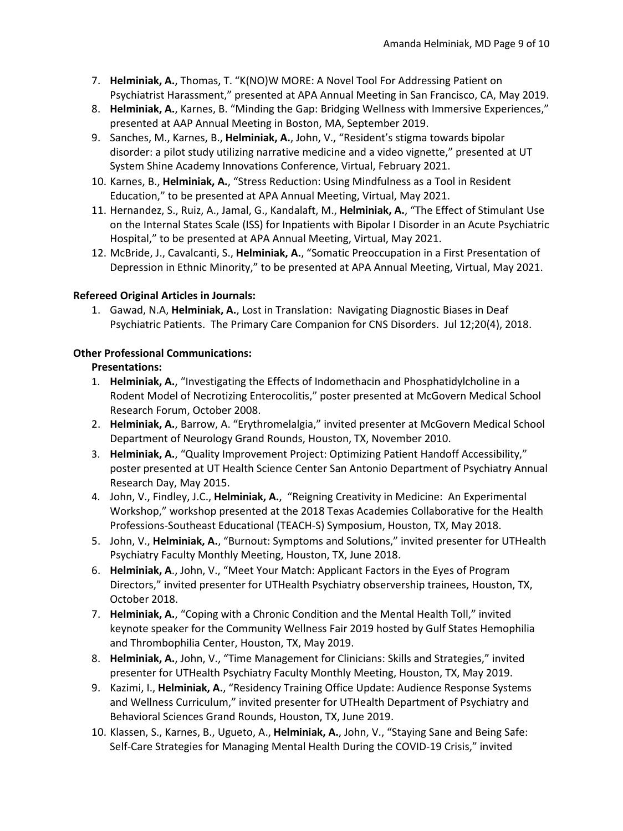- 7. **Helminiak, A.**, Thomas, T. "K(NO)W MORE: A Novel Tool For Addressing Patient on Psychiatrist Harassment," presented at APA Annual Meeting in San Francisco, CA, May 2019.
- 8. **Helminiak, A.**, Karnes, B. "Minding the Gap: Bridging Wellness with Immersive Experiences," presented at AAP Annual Meeting in Boston, MA, September 2019.
- 9. Sanches, M., Karnes, B., **Helminiak, A.**, John, V., "Resident's stigma towards bipolar disorder: a pilot study utilizing narrative medicine and a video vignette," presented at UT System Shine Academy Innovations Conference, Virtual, February 2021.
- 10. Karnes, B., **Helminiak, A.**, "Stress Reduction: Using Mindfulness as a Tool in Resident Education," to be presented at APA Annual Meeting, Virtual, May 2021.
- 11. Hernandez, S., Ruiz, A., Jamal, G., Kandalaft, M., **Helminiak, A.**, "The Effect of Stimulant Use on the Internal States Scale (ISS) for Inpatients with Bipolar I Disorder in an Acute Psychiatric Hospital," to be presented at APA Annual Meeting, Virtual, May 2021.
- 12. McBride, J., Cavalcanti, S., **Helminiak, A.**, "Somatic Preoccupation in a First Presentation of Depression in Ethnic Minority," to be presented at APA Annual Meeting, Virtual, May 2021.

# **Refereed Original Articles in Journals:**

1. Gawad, N.A, **Helminiak, A.**, Lost in Translation: Navigating Diagnostic Biases in Deaf Psychiatric Patients. The Primary Care Companion for CNS Disorders. Jul 12;20(4), 2018.

# **Other Professional Communications:**

# **Presentations:**

- 1. **Helminiak, A.**, "Investigating the Effects of Indomethacin and Phosphatidylcholine in a Rodent Model of Necrotizing Enterocolitis," poster presented at McGovern Medical School Research Forum, October 2008.
- 2. **Helminiak, A.**, Barrow, A. "Erythromelalgia," invited presenter at McGovern Medical School Department of Neurology Grand Rounds, Houston, TX, November 2010.
- 3. **Helminiak, A.**, "Quality Improvement Project: Optimizing Patient Handoff Accessibility," poster presented at UT Health Science Center San Antonio Department of Psychiatry Annual Research Day, May 2015.
- 4. John, V., Findley, J.C., **Helminiak, A.**, "Reigning Creativity in Medicine: An Experimental Workshop," workshop presented at the 2018 Texas Academies Collaborative for the Health Professions-Southeast Educational (TEACH-S) Symposium, Houston, TX, May 2018.
- 5. John, V., **Helminiak, A.**, "Burnout: Symptoms and Solutions," invited presenter for UTHealth Psychiatry Faculty Monthly Meeting, Houston, TX, June 2018.
- 6. **Helminiak, A**., John, V., "Meet Your Match: Applicant Factors in the Eyes of Program Directors," invited presenter for UTHealth Psychiatry observership trainees, Houston, TX, October 2018.
- 7. **Helminiak, A.**, "Coping with a Chronic Condition and the Mental Health Toll," invited keynote speaker for the Community Wellness Fair 2019 hosted by Gulf States Hemophilia and Thrombophilia Center, Houston, TX, May 2019.
- 8. **Helminiak, A.**, John, V., "Time Management for Clinicians: Skills and Strategies," invited presenter for UTHealth Psychiatry Faculty Monthly Meeting, Houston, TX, May 2019.
- 9. Kazimi, I., **Helminiak, A.**, "Residency Training Office Update: Audience Response Systems and Wellness Curriculum," invited presenter for UTHealth Department of Psychiatry and Behavioral Sciences Grand Rounds, Houston, TX, June 2019.
- 10. Klassen, S., Karnes, B., Ugueto, A., **Helminiak, A.**, John, V., "Staying Sane and Being Safe: Self-Care Strategies for Managing Mental Health During the COVID-19 Crisis," invited